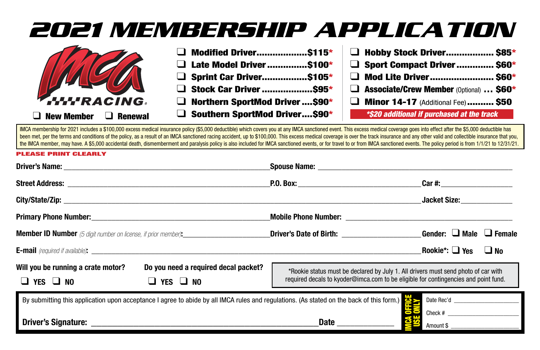# **2021 MEMBERSHIP APPLICATION**



| $\Box$ Modified Driver\$115*          | $\Box$ Hobby St            |
|---------------------------------------|----------------------------|
| $\Box$ Late Model Driver\$100*        | $\Box$ Sport Cor           |
| $\Box$ Sprint Car Driver\$105*        | $\Box$ Mod Lite            |
| $\Box$ Stock Car Driver \$95*         | $\Box$ Associate/          |
| $\Box$ Northern SportMod Driver \$90* | $\Box$ Minor 14            |
| Southern SportMod Driver\$90*         | <i><b>*\$20 additi</b></i> |

| $\Box$ Hobby Stock Driver \$85*                |  |
|------------------------------------------------|--|
| $\Box$ Sport Compact Driver  \$60*             |  |
| $\Box$ Mod Lite Driver \$60*                   |  |
| $\Box$ Associate/Crew Member (Optional)  \$60* |  |
| $\Box$ Minor 14-17 (Additional Fee) \$50       |  |
| *\$20 additional if purchased at the track     |  |

IMCA membership for 2021 includes a \$100,000 excess medical insurance policy (\$5,000 deductible) which covers you at any IMCA sanctioned event. This excess medical coverage goes into effect after the \$5,000 deductible has been met, per the terms and conditions of the policy, as a result of an IMCA sanctioned racing accident, up to \$100,000. This excess medical coverage is over the track insurance and any other valid and collectible insuranc the IMCA member, may have. A \$5.000 accidental death, dismemberment and paralysis policy is also included for IMCA sanctioned events, or for travel to or from IMCA sanctioned events. The policy period is from 1/1/21 to 12/

#### PLEASE PRINT CLEARLY

|                                                                                                                                                                                                                                     |                                                                                                                                                                           | $Car \#:$                                                                                                                                                                                                                      |  |  |
|-------------------------------------------------------------------------------------------------------------------------------------------------------------------------------------------------------------------------------------|---------------------------------------------------------------------------------------------------------------------------------------------------------------------------|--------------------------------------------------------------------------------------------------------------------------------------------------------------------------------------------------------------------------------|--|--|
|                                                                                                                                                                                                                                     |                                                                                                                                                                           | Jacket Size: The Contract of the Second State of the Second State of the Second State of the Second State of the Second State of the Second State of the Second State of the Second State of the Second State of the Second St |  |  |
| <b>Primary Phone Number:</b> The contract of the contract of the contract of the contract of the contract of the contract of the contract of the contract of the contract of the contract of the contract of the contract of the co |                                                                                                                                                                           |                                                                                                                                                                                                                                |  |  |
| <b>Member ID Number</b> (5 digit number on license, if prior member) <b>:</b>                                                                                                                                                       | _Driver's Date of Birth: _________________________Gender: $\Box$ Male $\Box$ Female                                                                                       |                                                                                                                                                                                                                                |  |  |
|                                                                                                                                                                                                                                     |                                                                                                                                                                           | Rookie*: $\Box$ Yes $\Box$ No                                                                                                                                                                                                  |  |  |
| Will you be running a crate motor?<br>Do you need a required decal packet?<br>YES $\Box$ No<br>$\Box$ YES $\Box$ NO                                                                                                                 | *Rookie status must be declared by July 1. All drivers must send photo of car with<br>required decals to kyoder@imca.com to be eligible for contingencies and point fund. |                                                                                                                                                                                                                                |  |  |
| By submitting this application upon acceptance I agree to abide by all IMCA rules and regulations. (As stated on the back of this form.)<br>Date Rec'd                                                                              |                                                                                                                                                                           |                                                                                                                                                                                                                                |  |  |
|                                                                                                                                                                                                                                     | <b>Date Date</b>                                                                                                                                                          | Amount \$                                                                                                                                                                                                                      |  |  |